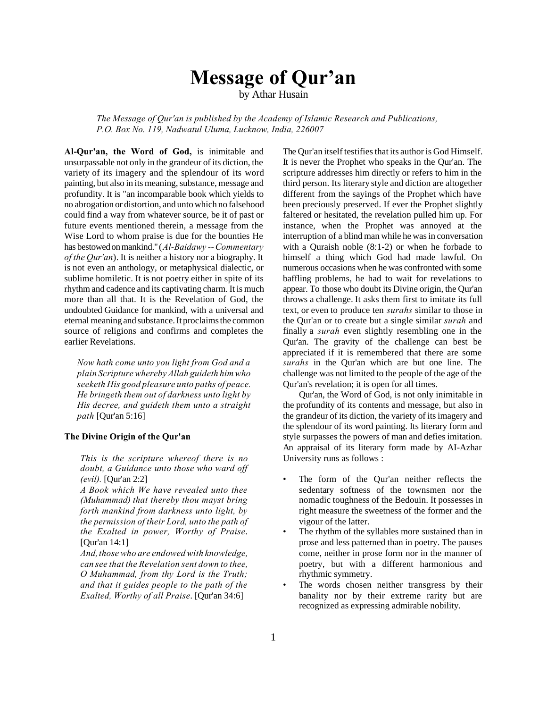# **Message of Qur'an**

by Athar Husain

*The Message of Qur'an is published by the Academy of Islamic Research and Publications, P.O. Box No. 119, Nadwatul Uluma, Lucknow, India, 226007*

**Al-Qur'an, the Word of God,** is inimitable and unsurpassable not only in the grandeur of its diction, the variety of its imagery and the splendour of its word painting, but also in its meaning, substance, message and profundity. It is "an incomparable book which yields to no abrogation or distortion, and unto which no falsehood could find a way from whatever source, be it of past or future events mentioned therein, a message from the Wise Lord to whom praise is due for the bounties He has bestowed on mankind." (*Al-Baidawy -- Commentary of the Qur'an*). It is neither a history nor a biography. It is not even an anthology, or metaphysical dialectic, or sublime homiletic. It is not poetry either in spite of its rhythm and cadence and its captivating charm. It is much more than all that. It is the Revelation of God, the undoubted Guidance for mankind, with a universal and eternal meaning and substance. It proclaims the common source of religions and confirms and completes the earlier Revelations.

*Now hath come unto you light from God and a plain Scripture whereby Allah guideth him who seeketh His good pleasure unto paths of peace. He bringeth them out of darkness unto light by His decree, and guideth them unto a straight path* [Qur'an 5:16]

# **The Divine Origin of the Qur'an**

*This is the scripture whereof there is no doubt, a Guidance unto those who ward off (evil).* [Qur'an 2:2]

*A Book which We have revealed unto thee (Muhammad) that thereby thou mayst bring forth mankind from darkness unto light, by the permission of their Lord, unto the path of the Exalted in power, Worthy of Praise*. [Qur'an 14:1]

*And, those who are endowed with knowledge, can see that the Revelation sent down to thee, O Muhammad, from thy Lord is the Truth; and that it guides people to the path of the Exalted, Worthy of all Praise*. [Qur'an 34:6]

The Qur'an itself testifies that its author is God Himself. It is never the Prophet who speaks in the Qur'an. The scripture addresses him directly or refers to him in the third person. Its literary style and diction are altogether different from the sayings of the Prophet which have been preciously preserved. If ever the Prophet slightly faltered or hesitated, the revelation pulled him up. For instance, when the Prophet was annoyed at the interruption of a blind man while he was in conversation with a Quraish noble (8:1-2) or when he forbade to himself a thing which God had made lawful. On numerous occasions when he was confronted with some baffling problems, he had to wait for revelations to appear. To those who doubt its Divine origin, the Qur'an throws a challenge. It asks them first to imitate its full text, or even to produce ten *surahs* similar to those in the Qur'an or to create but a single similar *surah* and finally a *surah* even slightly resembling one in the Qur'an. The gravity of the challenge can best be appreciated if it is remembered that there are some *surahs* in the Qur'an which are but one line. The challenge was not limited to the people of the age of the Qur'an's revelation; it is open for all times.

Qur'an, the Word of God, is not only inimitable in the profundity of its contents and message, but also in the grandeur of its diction, the variety of its imagery and the splendour of its word painting. Its literary form and style surpasses the powers of man and defies imitation. An appraisal of its literary form made by AI-Azhar University runs as follows :

- The form of the Our'an neither reflects the sedentary softness of the townsmen nor the nomadic toughness of the Bedouin. It possesses in right measure the sweetness of the former and the vigour of the latter.
- The rhythm of the syllables more sustained than in prose and less patterned than in poetry. The pauses come, neither in prose form nor in the manner of poetry, but with a different harmonious and rhythmic symmetry.
- The words chosen neither transgress by their banality nor by their extreme rarity but are recognized as expressing admirable nobility.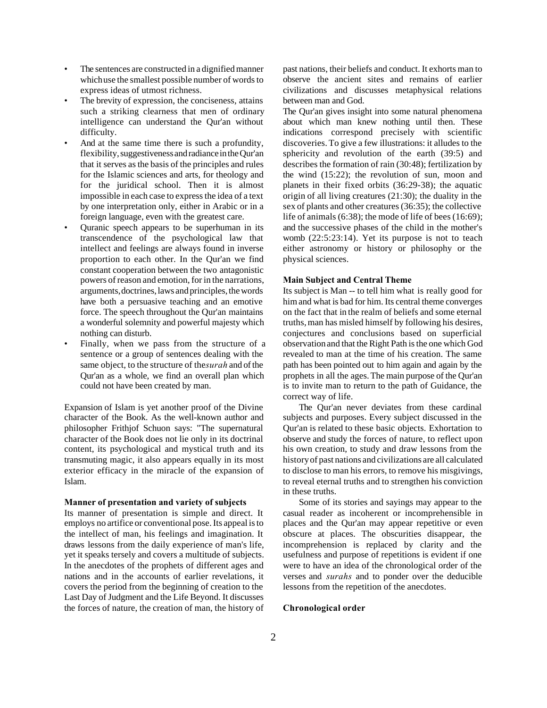- The sentences are constructed in a dignified manner which use the smallest possible number of words to express ideas of utmost richness.
- The brevity of expression, the conciseness, attains such a striking clearness that men of ordinary intelligence can understand the Qur'an without difficulty.
- And at the same time there is such a profundity, flexibility, suggestiveness and radiance in the Qur'an that it serves as the basis of the principles and rules for the Islamic sciences and arts, for theology and for the juridical school. Then it is almost impossible in each case to express the idea of a text by one interpretation only, either in Arabic or in a foreign language, even with the greatest care.
- Quranic speech appears to be superhuman in its transcendence of the psychological law that intellect and feelings are always found in inverse proportion to each other. In the Qur'an we find constant cooperation between the two antagonistic powers of reason and emotion, for in the narrations, arguments, doctrines, laws and principles, the words have both a persuasive teaching and an emotive force. The speech throughout the Qur'an maintains a wonderful solemnity and powerful majesty which nothing can disturb.
- Finally, when we pass from the structure of a sentence or a group of sentences dealing with the same object, to the structure of the *surah* and of the Qur'an as a whole, we find an overall plan which could not have been created by man.

Expansion of Islam is yet another proof of the Divine character of the Book. As the well-known author and philosopher Frithjof Schuon says: "The supernatural character of the Book does not lie only in its doctrinal content, its psychological and mystical truth and its transmuting magic, it also appears equally in its most exterior efficacy in the miracle of the expansion of Islam.

#### **Manner of presentation and variety of subjects**

Its manner of presentation is simple and direct. It employs no artifice or conventional pose. Its appeal is to the intellect of man, his feelings and imagination. It draws lessons from the daily experience of man's life, yet it speaks tersely and covers a multitude of subjects. In the anecdotes of the prophets of different ages and nations and in the accounts of earlier revelations, it covers the period from the beginning of creation to the Last Day of Judgment and the Life Beyond. It discusses the forces of nature, the creation of man, the history of past nations, their beliefs and conduct. It exhorts man to observe the ancient sites and remains of earlier civilizations and discusses metaphysical relations between man and God.

The Qur'an gives insight into some natural phenomena about which man knew nothing until then. These indications correspond precisely with scientific discoveries. To give a few illustrations: it alludes to the sphericity and revolution of the earth (39:5) and describes the formation of rain (30:48); fertilization by the wind (15:22); the revolution of sun, moon and planets in their fixed orbits (36:29-38); the aquatic origin of all living creatures (21:30); the duality in the sex of plants and other creatures (36:35); the collective life of animals (6:38); the mode of life of bees (16:69); and the successive phases of the child in the mother's womb (22:5:23:14). Yet its purpose is not to teach either astronomy or history or philosophy or the physical sciences.

#### **Main Subject and Central Theme**

Its subject is Man -- to tell him what is really good for him and what is bad for him. Its central theme converges on the fact that in the realm of beliefs and some eternal truths, man has misled himself by following his desires, conjectures and conclusions based on superficial observation and that the Right Path is the one which God revealed to man at the time of his creation. The same path has been pointed out to him again and again by the prophets in all the ages. The main purpose of the Qur'an is to invite man to return to the path of Guidance, the correct way of life.

The Qur'an never deviates from these cardinal subjects and purposes. Every subject discussed in the Qur'an is related to these basic objects. Exhortation to observe and study the forces of nature, to reflect upon his own creation, to study and draw lessons from the history of past nations and civilizations are all calculated to disclose to man his errors, to remove his misgivings, to reveal eternal truths and to strengthen his conviction in these truths.

Some of its stories and sayings may appear to the casual reader as incoherent or incomprehensible in places and the Qur'an may appear repetitive or even obscure at places. The obscurities disappear, the incomprehension is replaced by clarity and the usefulness and purpose of repetitions is evident if one were to have an idea of the chronological order of the verses and *surahs* and to ponder over the deducible lessons from the repetition of the anecdotes.

#### **Chronological order**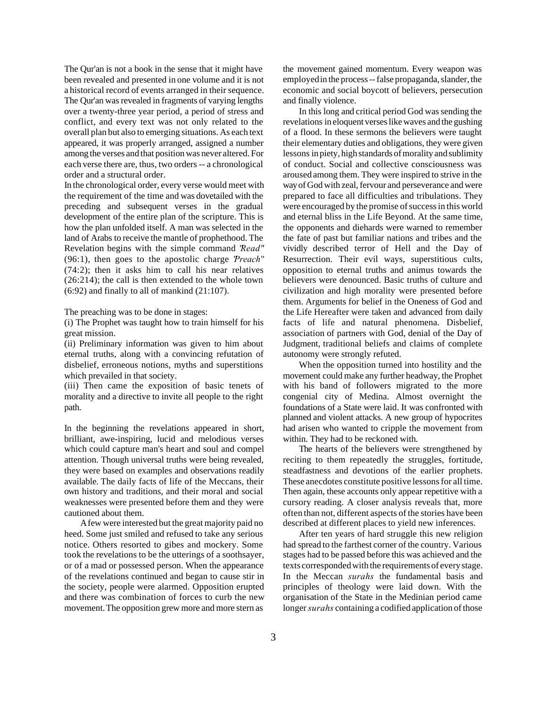The Qur'an is not a book in the sense that it might have been revealed and presented in one volume and it is not a historical record of events arranged in their sequence. The Qur'an was revealed in fragments of varying lengths over a twenty-three year period, a period of stress and conflict, and every text was not only related to the overall plan but also to emerging situations. As each text appeared, it was properly arranged, assigned a number among the verses and that position was never altered. For each verse there are, thus, two orders -- a chronological order and a structural order.

In the chronological order, every verse would meet with the requirement of the time and was dovetailed with the preceding and subsequent verses in the gradual development of the entire plan of the scripture. This is how the plan unfolded itself. A man was selected in the land of Arabs to receive the mantle of prophethood. The Revelation begins with the simple command "*Read"* (96:1), then goes to the apostolic charge "*Preach*" (74:2); then it asks him to call his near relatives (26:214); the call is then extended to the whole town (6:92) and finally to all of mankind (21:107).

The preaching was to be done in stages:

(i) The Prophet was taught how to train himself for his great mission.

(ii) Preliminary information was given to him about eternal truths, along with a convincing refutation of disbelief, erroneous notions, myths and superstitions which prevailed in that society.

(iii) Then came the exposition of basic tenets of morality and a directive to invite all people to the right path.

In the beginning the revelations appeared in short, brilliant, awe-inspiring, lucid and melodious verses which could capture man's heart and soul and compel attention. Though universal truths were being revealed, they were based on examples and observations readily available. The daily facts of life of the Meccans, their own history and traditions, and their moral and social weaknesses were presented before them and they were cautioned about them.

A few were interested but the great majority paid no heed. Some just smiled and refused to take any serious notice. Others resorted to gibes and mockery. Some took the revelations to be the utterings of a soothsayer, or of a mad or possessed person. When the appearance of the revelations continued and began to cause stir in the society, people were alarmed. Opposition erupted and there was combination of forces to curb the new movement. The opposition grew more and more stern as

the movement gained momentum. Every weapon was employed in the process -- false propaganda, slander, the economic and social boycott of believers, persecution and finally violence.

In this long and critical period God was sending the revelations in eloquent verses like waves and the gushing of a flood. In these sermons the believers were taught their elementary duties and obligations, they were given lessons in piety, high standards of morality and sublimity of conduct. Social and collective consciousness was aroused among them. They were inspired to strive in the way of God with zeal, fervour and perseverance and were prepared to face all difficulties and tribulations. They were encouraged by the promise of success in this world and eternal bliss in the Life Beyond. At the same time, the opponents and diehards were warned to remember the fate of past but familiar nations and tribes and the vividly described terror of Hell and the Day of Resurrection. Their evil ways, superstitious cults, opposition to eternal truths and animus towards the believers were denounced. Basic truths of culture and civilization and high morality were presented before them. Arguments for belief in the Oneness of God and the Life Hereafter were taken and advanced from daily facts of life and natural phenomena. Disbelief, association of partners with God, denial of the Day of Judgment, traditional beliefs and claims of complete autonomy were strongly refuted.

When the opposition turned into hostility and the movement could make any further headway, the Prophet with his band of followers migrated to the more congenial city of Medina. Almost overnight the foundations of a State were laid. It was confronted with planned and violent attacks. A new group of hypocrites had arisen who wanted to cripple the movement from within. They had to be reckoned with.

The hearts of the believers were strengthened by reciting to them repeatedly the struggles, fortitude, steadfastness and devotions of the earlier prophets. These anecdotes constitute positive lessons for all time. Then again, these accounts only appear repetitive with a cursory reading. A closer analysis reveals that, more often than not, different aspects of the stories have been described at different places to yield new inferences.

After ten years of hard struggle this new religion had spread to the farthest corner of the country. Various stages had to be passed before this was achieved and the texts corresponded with the requirements of every stage. In the Meccan *surahs* the fundamental basis and principles of theology were laid down. With the organisation of the State in the Medinian period came longer*surahs* containing a codified application of those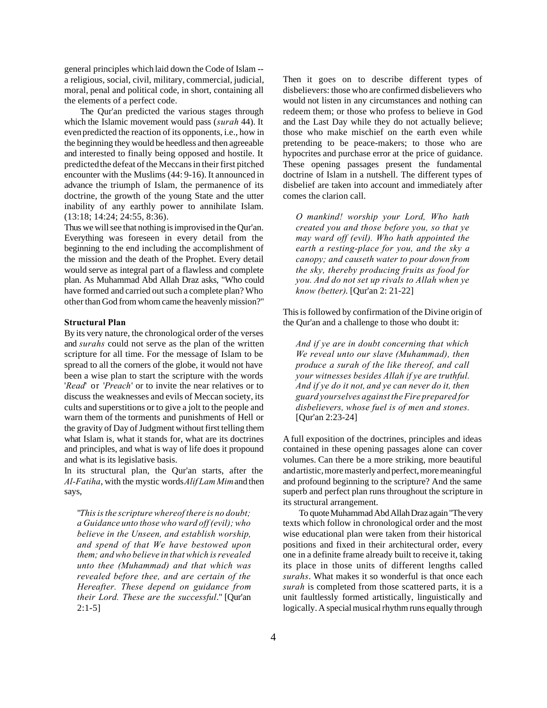general principles which laid down the Code of Islam - a religious, social, civil, military, commercial, judicial, moral, penal and political code, in short, containing all the elements of a perfect code.

The Qur'an predicted the various stages through which the Islamic movement would pass (*surah* 44). It even predicted the reaction of its opponents, i.e., how in the beginning they would be heedless and then agreeable and interested to finally being opposed and hostile. It predicted the defeat of the Meccans in their first pitched encounter with the Muslims (44: 9-16). It announced in advance the triumph of Islam, the permanence of its doctrine, the growth of the young State and the utter inability of any earthly power to annihilate Islam. (13:18; 14:24; 24:55, 8:36).

Thus we will see that nothing is improvised in the Qur'an. Everything was foreseen in every detail from the beginning to the end including the accomplishment of the mission and the death of the Prophet. Every detail would serve as integral part of a flawless and complete plan. As Muhammad Abd Allah Draz asks, "Who could have formed and carried out such a complete plan? Who other than God from whom came the heavenly mission?"

#### **Structural Plan**

By its very nature, the chronological order of the verses and *surahs* could not serve as the plan of the written scripture for all time. For the message of Islam to be spread to all the corners of the globe, it would not have been a wise plan to start the scripture with the words '*Read*' or '*Preach*' or to invite the near relatives or to discuss the weaknesses and evils of Meccan society, its cults and superstitions or to give a jolt to the people and warn them of the torments and punishments of Hell or the gravity of Day of Judgment without first telling them what Islam is, what it stands for, what are its doctrines and principles, and what is way of life does it propound and what is its legislative basis.

In its structural plan, the Qur'an starts, after the *Al-Fatiha*, with the mystic words *Alif Lam Mim* and then says,

"*This is the scripture whereof there is no doubt; a Guidance unto those who ward off (evil); who believe in the Unseen, and establish worship, and spend of that We have bestowed upon them; and who believe in that which is revealed unto thee (Muhammad) and that which was revealed before thee, and are certain of the Hereafter. These depend on guidance from their Lord. These are the successful*." [Qur'an  $2:1-5$ ]

Then it goes on to describe different types of disbelievers: those who are confirmed disbelievers who would not listen in any circumstances and nothing can redeem them; or those who profess to believe in God and the Last Day while they do not actually believe; those who make mischief on the earth even while pretending to be peace-makers; to those who are hypocrites and purchase error at the price of guidance. These opening passages present the fundamental doctrine of Islam in a nutshell. The different types of disbelief are taken into account and immediately after comes the clarion call.

*O mankind! worship your Lord, Who hath created you and those before you, so that ye may ward off (evil). Who hath appointed the earth a resting-place for you, and the sky a canopy; and causeth water to pour down from the sky, thereby producing fruits as food for you. And do not set up rivals to Allah when ye know (better)*. [Qur'an 2: 21-22]

This is followed by confirmation of the Divine origin of the Qur'an and a challenge to those who doubt it:

*And if ye are in doubt concerning that which We reveal unto our slave (Muhammad), then produce a surah of the like thereof, and call your witnesses besides Allah if ye are truthful. And if ye do it not, and ye can never do it, then guard yourselves against the Fire prepared for disbelievers, whose fuel is of men and stones.* [Qur'an 2:23-24]

A full exposition of the doctrines, principles and ideas contained in these opening passages alone can cover volumes. Can there be a more striking, more beautiful and artistic, more masterly and perfect, more meaningful and profound beginning to the scripture? And the same superb and perfect plan runs throughout the scripture in its structural arrangement.

To quote Muhammad Abd Allah Draz again "The very texts which follow in chronological order and the most wise educational plan were taken from their historical positions and fixed in their architectural order, every one in a definite frame already built to receive it, taking its place in those units of different lengths called *surahs*. What makes it so wonderful is that once each *surah* is completed from those scattered parts, it is a unit faultlessly formed artistically, linguistically and logically. A special musical rhythm runs equally through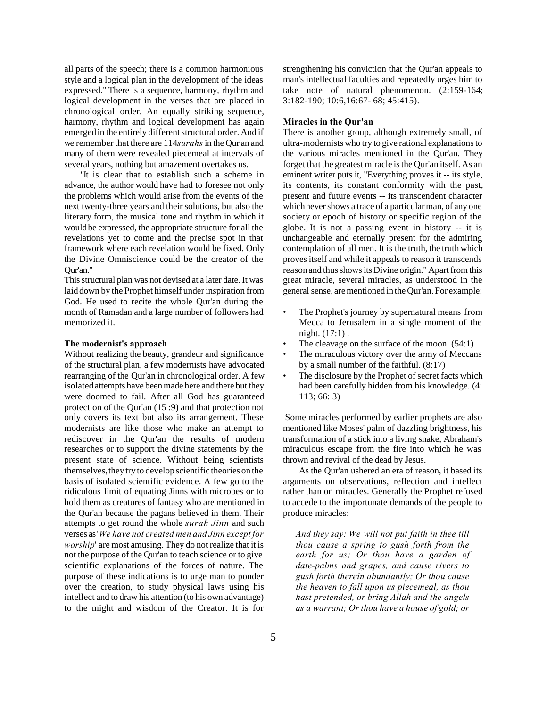all parts of the speech; there is a common harmonious style and a logical plan in the development of the ideas expressed." There is a sequence, harmony, rhythm and logical development in the verses that are placed in chronological order. An equally striking sequence, harmony, rhythm and logical development has again emerged in the entirely different structural order. And if we remember that there are 114 *surahs* in the Qur'an and many of them were revealed piecemeal at intervals of several years, nothing but amazement overtakes us.

"It is clear that to establish such a scheme in advance, the author would have had to foresee not only the problems which would arise from the events of the next twenty-three years and their solutions, but also the literary form, the musical tone and rhythm in which it would be expressed, the appropriate structure for all the revelations yet to come and the precise spot in that framework where each revelation would be fixed. Only the Divine Omniscience could be the creator of the Qur'an."

This structural plan was not devised at a later date. It was laid down by the Prophet himself under inspiration from God. He used to recite the whole Qur'an during the month of Ramadan and a large number of followers had memorized it.

#### **The modernist's approach**

Without realizing the beauty, grandeur and significance of the structural plan, a few modernists have advocated rearranging of the Qur'an in chronological order. A few isolated attempts have been made here and there but they were doomed to fail. After all God has guaranteed protection of the Qur'an (15 :9) and that protection not only covers its text but also its arrangement. These modernists are like those who make an attempt to rediscover in the Qur'an the results of modern researches or to support the divine statements by the present state of science. Without being scientists themselves, they try to develop scientific theories on the basis of isolated scientific evidence. A few go to the ridiculous limit of equating Jinns with microbes or to hold them as creatures of fantasy who are mentioned in the Qur'an because the pagans believed in them. Their attempts to get round the whole *surah Jinn* and such verses as '*We have not created men and Jinn except for worship*' are most amusing. They do not realize that it is not the purpose of the Qur'an to teach science or to give scientific explanations of the forces of nature. The purpose of these indications is to urge man to ponder over the creation, to study physical laws using his intellect and to draw his attention (to his own advantage) to the might and wisdom of the Creator. It is for

strengthening his conviction that the Qur'an appeals to man's intellectual faculties and repeatedly urges him to take note of natural phenomenon. (2:159-164; 3:182-190; 10:6,16:67- 68; 45:415).

### **Miracles in the Qur'an**

There is another group, although extremely small, of ultra-modernists who try to give rational explanations to the various miracles mentioned in the Qur'an. They forget that the greatest miracle is the Qur'an itself. As an eminent writer puts it, "Everything proves it -- its style, its contents, its constant conformity with the past, present and future events -- its transcendent character which never shows a trace of a particular man, of any one society or epoch of history or specific region of the globe. It is not a passing event in history -- it is unchangeable and eternally present for the admiring contemplation of all men. It is the truth, the truth which proves itself and while it appeals to reason it transcends reason and thus shows its Divine origin." Apart from this great miracle, several miracles, as understood in the general sense, are mentioned in the Qur'an. For example:

- The Prophet's journey by supernatural means from Mecca to Jerusalem in a single moment of the night. (17:1) .
- The cleavage on the surface of the moon.  $(54:1)$
- The miraculous victory over the army of Meccans by a small number of the faithful. (8:17)
- The disclosure by the Prophet of secret facts which had been carefully hidden from his knowledge. (4: 113; 66: 3)

 Some miracles performed by earlier prophets are also mentioned like Moses' palm of dazzling brightness, his transformation of a stick into a living snake, Abraham's miraculous escape from the fire into which he was thrown and revival of the dead by Jesus.

As the Qur'an ushered an era of reason, it based its arguments on observations, reflection and intellect rather than on miracles. Generally the Prophet refused to accede to the importunate demands of the people to produce miracles:

*And they say: We will not put faith in thee till thou cause a spring to gush forth from the earth for us; Or thou have a garden of date-palms and grapes, and cause rivers to gush forth therein abundantly; Or thou cause the heaven to fall upon us piecemeal, as thou hast pretended, or bring Allah and the angels as a warrant; Or thou have a house of gold; or*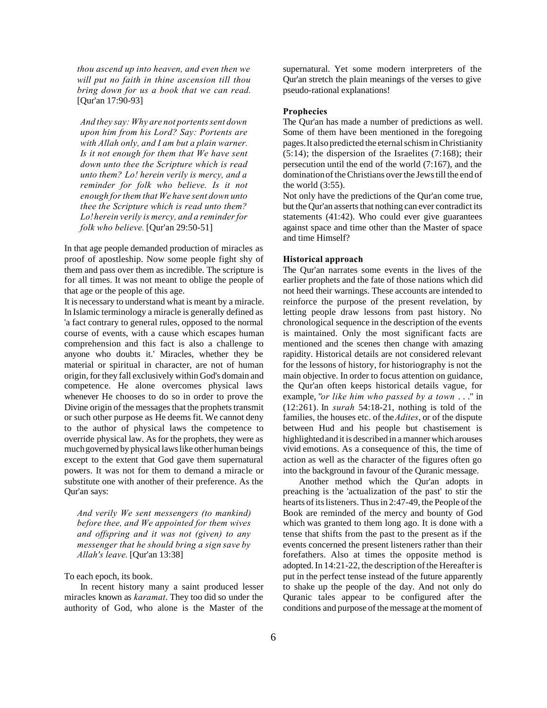*thou ascend up into heaven, and even then we will put no faith in thine ascension till thou bring down for us a book that we can read.* [Qur'an 17:90-93]

*And they say: Why are not portents sent down upon him from his Lord? Say: Portents are with Allah only, and I am but a plain warner. Is it not enough for them that We have sent down unto thee the Scripture which is read unto them? Lo! herein verily is mercy, and a reminder for folk who believe. Is it not enough for them that We have sent down unto thee the Scripture which is read unto them? Lo! herein verily is mercy, and a reminder for folk who believe.* [Qur'an 29:50-51]

In that age people demanded production of miracles as proof of apostleship. Now some people fight shy of them and pass over them as incredible. The scripture is for all times. It was not meant to oblige the people of that age or the people of this age.

It is necessary to understand what is meant by a miracle. In Islamic terminology a miracle is generally defined as 'a fact contrary to general rules, opposed to the normal course of events, with a cause which escapes human comprehension and this fact is also a challenge to anyone who doubts it.' Miracles, whether they be material or spiritual in character, are not of human origin, for they fall exclusively within God's domain and competence. He alone overcomes physical laws whenever He chooses to do so in order to prove the Divine origin of the messages that the prophets transmit or such other purpose as He deems fit. We cannot deny to the author of physical laws the competence to override physical law. As for the prophets, they were as much governed by physical laws like other human beings except to the extent that God gave them supernatural powers. It was not for them to demand a miracle or substitute one with another of their preference. As the Qur'an says:

*And verily We sent messengers (to mankind) before thee, and We appointed for them wives and offspring and it was not (given) to any messenger that he should bring a sign save by Allah's leave.* [Qur'an 13:38]

To each epoch, its book.

In recent history many a saint produced lesser miracles known as *karamat*. They too did so under the authority of God, who alone is the Master of the supernatural. Yet some modern interpreters of the Qur'an stretch the plain meanings of the verses to give pseudo-rational explanations!

#### **Prophecies**

The Qur'an has made a number of predictions as well. Some of them have been mentioned in the foregoing pages. It also predicted the eternal schism in Christianity  $(5:14)$ ; the dispersion of the Israelites  $(7:168)$ ; their persecution until the end of the world (7:167), and the domination of the Christians over the Jews till the end of the world (3:55).

Not only have the predictions of the Qur'an come true, but the Qur'an asserts that nothing can ever contradict its statements (41:42). Who could ever give guarantees against space and time other than the Master of space and time Himself?

### **Historical approach**

The Qur'an narrates some events in the lives of the earlier prophets and the fate of those nations which did not heed their warnings. These accounts are intended to reinforce the purpose of the present revelation, by letting people draw lessons from past history. No chronological sequence in the description of the events is maintained. Only the most significant facts are mentioned and the scenes then change with amazing rapidity. Historical details are not considered relevant for the lessons of history, for historiography is not the main objective. In order to focus attention on guidance, the Qur'an often keeps historical details vague, for example, "*or like him who passed by a town* . . ." in (12:261). In *surah* 54:18-21, nothing is told of the families, the houses etc. of the *Adites*, or of the dispute between Hud and his people but chastisement is highlighted and it is described in a manner which arouses vivid emotions. As a consequence of this, the time of action as well as the character of the figures often go into the background in favour of the Quranic message.

Another method which the Qur'an adopts in preaching is the 'actualization of the past' to stir the hearts of its listeners. Thus in 2:47-49, the People of the Book are reminded of the mercy and bounty of God which was granted to them long ago. It is done with a tense that shifts from the past to the present as if the events concerned the present listeners rather than their forefathers. Also at times the opposite method is adopted. In 14:21-22, the description of the Hereafter is put in the perfect tense instead of the future apparently to shake up the people of the day. And not only do Quranic tales appear to be configured after the conditions and purpose of the message at the moment of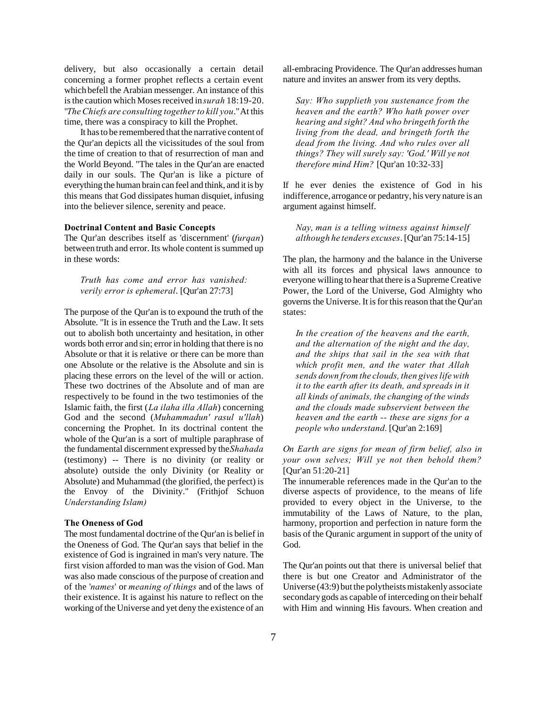delivery, but also occasionally a certain detail concerning a former prophet reflects a certain event which befell the Arabian messenger. An instance of this is the caution which Moses received in *surah* 18:19-20. "*The Chiefs are consulting together to kill you*." At this time, there was a conspiracy to kill the Prophet.

It has to be remembered that the narrative content of the Qur'an depicts all the vicissitudes of the soul from the time of creation to that of resurrection of man and the World Beyond. "The tales in the Qur'an are enacted daily in our souls. The Qur'an is like a picture of everything the human brain can feel and think, and it is by this means that God dissipates human disquiet, infusing into the believer silence, serenity and peace.

## **Doctrinal Content and Basic Concepts**

The Qur'an describes itself as 'discernment' (*furqan*) between truth and error. Its whole content is summed up in these words:

*Truth has come and error has vanished: verily error is ephemeral*. [Qur'an 27:73]

The purpose of the Qur'an is to expound the truth of the Absolute. "It is in essence the Truth and the Law. It sets out to abolish both uncertainty and hesitation, in other words both error and sin; error in holding that there is no Absolute or that it is relative or there can be more than one Absolute or the relative is the Absolute and sin is placing these errors on the level of the will or action. These two doctrines of the Absolute and of man are respectively to be found in the two testimonies of the Islamic faith, the first (*La ilaha illa Allah*) concerning God and the second (*Muhammadun' rasul u'llah*) concerning the Prophet. In its doctrinal content the whole of the Qur'an is a sort of multiple paraphrase of the fundamental discernment expressed by the *Shahada* (testimony) -- There is no divinity (or reality or absolute) outside the only Divinity (or Reality or Absolute) and Muhammad (the glorified, the perfect) is the Envoy of the Divinity." (Frithjof Schuon *Understanding Islam)*

### **The Oneness of God**

The most fundamental doctrine of the Qur'an is belief in the Oneness of God. The Qur'an says that belief in the existence of God is ingrained in man's very nature. The first vision afforded to man was the vision of God. Man was also made conscious of the purpose of creation and of the '*names*' or *meaning of things* and of the laws of their existence. It is against his nature to reflect on the working of the Universe and yet deny the existence of an

all-embracing Providence. The Qur'an addresses human nature and invites an answer from its very depths.

*Say: Who supplieth you sustenance from the heaven and the earth? Who hath power over hearing and sight? And who bringeth forth the living from the dead, and bringeth forth the dead from the living. And who rules over all things? They will surely say: 'God.' Will ye not therefore mind Him?* [Qur'an 10:32-33]

If he ever denies the existence of God in his indifference, arrogance or pedantry, his very nature is an argument against himself.

*Nay, man is a telling witness against himself although he tenders excuses*. [Qur'an 75:14-15]

The plan, the harmony and the balance in the Universe with all its forces and physical laws announce to everyone willing to hear that there is a Supreme Creative Power, the Lord of the Universe, God Almighty who governs the Universe. It is for this reason that the Qur'an states:

*In the creation of the heavens and the earth, and the alternation of the night and the day, and the ships that sail in the sea with that which profit men, and the water that Allah sends down from the clouds, then gives life with it to the earth after its death, and spreads in it all kinds of animals, the changing of the winds and the clouds made subservient between the heaven and the earth -- these are signs for a people who understand.* [Qur'an 2:169]

*On Earth are signs for mean of firm belief, also in your own selves; Will ye not then behold them?* [Qur'an 51:20-21]

The innumerable references made in the Qur'an to the diverse aspects of providence, to the means of life provided to every object in the Universe, to the immutability of the Laws of Nature, to the plan, harmony, proportion and perfection in nature form the basis of the Quranic argument in support of the unity of God.

The Qur'an points out that there is universal belief that there is but one Creator and Administrator of the Universe (43:9) but the polytheists mistakenly associate secondary gods as capable of interceding on their behalf with Him and winning His favours. When creation and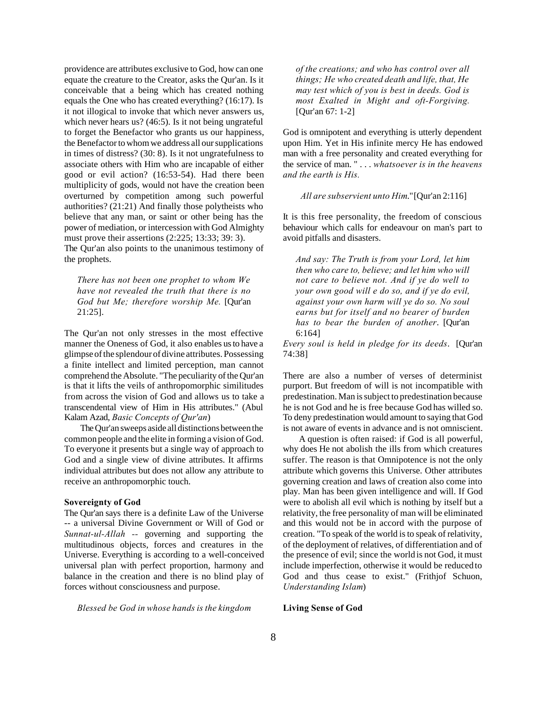providence are attributes exclusive to God, how can one equate the creature to the Creator, asks the Qur'an. Is it conceivable that a being which has created nothing equals the One who has created everything? (16:17). Is it not illogical to invoke that which never answers us, which never hears us? (46:5). Is it not being ungrateful to forget the Benefactor who grants us our happiness, the Benefactor to whom we address all our supplications in times of distress? (30: 8). Is it not ungratefulness to associate others with Him who are incapable of either good or evil action? (16:53-54). Had there been multiplicity of gods, would not have the creation been overturned by competition among such powerful authorities? (21:21) And finally those polytheists who believe that any man, or saint or other being has the power of mediation, or intercession with God Almighty must prove their assertions (2:225; 13:33; 39: 3). The Qur'an also points to the unanimous testimony of

the prophets.

*There has not been one prophet to whom We have not revealed the truth that there is no God but Me; therefore worship Me.* [Qur'an 21:25].

The Qur'an not only stresses in the most effective manner the Oneness of God, it also enables us to have a glimpse of the splendour of divine attributes. Possessing a finite intellect and limited perception, man cannot comprehend the Absolute. "The peculiarity of the Qur'an is that it lifts the veils of anthropomorphic similitudes from across the vision of God and allows us to take a transcendental view of Him in His attributes." (Abul Kalam Azad, *Basic Concepts of Qur'an*)

The Qur'an sweeps aside all distinctions between the common people and the elite in forming a vision of God. To everyone it presents but a single way of approach to God and a single view of divine attributes. It affirms individual attributes but does not allow any attribute to receive an anthropomorphic touch.

## **Sovereignty of God**

The Qur'an says there is a definite Law of the Universe -- a universal Divine Government or Will of God or *Sunnat-ul-Allah --* governing and supporting the multitudinous objects, forces and creatures in the Universe. Everything is according to a well-conceived universal plan with perfect proportion, harmony and balance in the creation and there is no blind play of forces without consciousness and purpose.

*of the creations; and who has control over all things; He who created death and life, that, He may test which of you is best in deeds. God is most Exalted in Might and oft-Forgiving.* [Qur'an 67: 1-2]

God is omnipotent and everything is utterly dependent upon Him. Yet in His infinite mercy He has endowed man with a free personality and created everything for the service of man. " . . . *whatsoever is in the heavens and the earth is His.*

## *All are subservient unto Him*." [Qur'an 2:116]

It is this free personality, the freedom of conscious behaviour which calls for endeavour on man's part to avoid pitfalls and disasters.

*And say: The Truth is from your Lord, let him then who care to, believe; and let him who will not care to believe not. And if ye do well to your own good will e do so, and if ye do evil, against your own harm will ye do so. No soul earns but for itself and no bearer of burden has to bear the burden of another*. [Qur'an 6:164]

*Every soul is held in pledge for its deeds*. [Qur'an 74:38]

There are also a number of verses of determinist purport. But freedom of will is not incompatible with predestination. Man is subject to predestination because he is not God and he is free because God has willed so. To deny predestination would amount to saying that God is not aware of events in advance and is not omniscient.

A question is often raised: if God is all powerful, why does He not abolish the ills from which creatures suffer. The reason is that Omnipotence is not the only attribute which governs this Universe. Other attributes governing creation and laws of creation also come into play. Man has been given intelligence and will. If God were to abolish all evil which is nothing by itself but a relativity, the free personality of man will be eliminated and this would not be in accord with the purpose of creation. "To speak of the world is to speak of relativity, of the deployment of relatives, of differentiation and of the presence of evil; since the world is not God, it must include imperfection, otherwise it would be reduced to God and thus cease to exist." (Frithjof Schuon, *Understanding Islam*)

*Blessed be God in whose hands is the kingdom*

#### **Living Sense of God**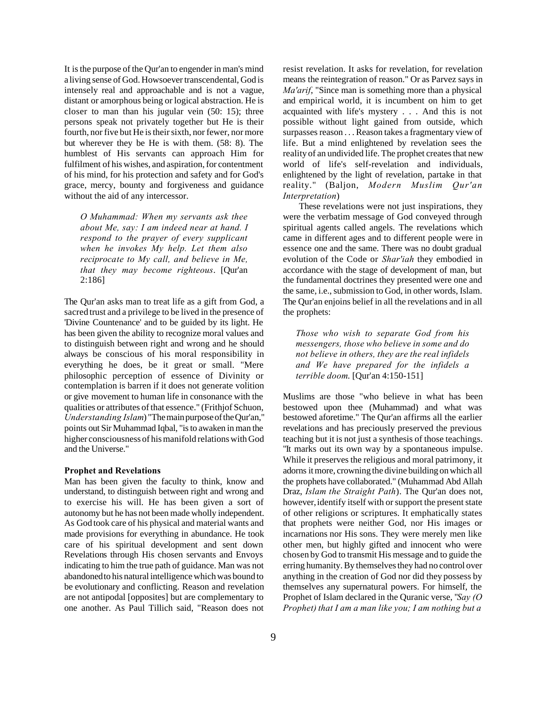It is the purpose of the Qur'an to engender in man's mind a living sense of God. Howsoever transcendental, God is intensely real and approachable and is not a vague, distant or amorphous being or logical abstraction. He is closer to man than his jugular vein (50: 15); three persons speak not privately together but He is their fourth, nor five but He is their sixth, nor fewer, nor more but wherever they be He is with them. (58: 8). The humblest of His servants can approach Him for fulfilment of his wishes, and aspiration, for contentment of his mind, for his protection and safety and for God's grace, mercy, bounty and forgiveness and guidance without the aid of any intercessor.

*O Muhammad: When my servants ask thee about Me, say: I am indeed near at hand. I respond to the prayer of every supplicant when he invokes My help. Let them also reciprocate to My call, and believe in Me, that they may become righteous*. [Qur'an 2:186]

The Qur'an asks man to treat life as a gift from God, a sacred trust and a privilege to be lived in the presence of 'Divine Countenance' and to be guided by its light. He has been given the ability to recognize moral values and to distinguish between right and wrong and he should always be conscious of his moral responsibility in everything he does, be it great or small. "Mere philosophic perception of essence of Divinity or contemplation is barren if it does not generate volition or give movement to human life in consonance with the qualities or attributes of that essence." (Frithjof Schuon, *Understanding Islam*) "The main purpose of the Qur'an," points out Sir Muhammad Iqbal, "is to awaken in man the higher consciousness of his manifold relations with God and the Universe."

#### **Prophet and Revelations**

Man has been given the faculty to think, know and understand, to distinguish between right and wrong and to exercise his will. He has been given a sort of autonomy but he has not been made wholly independent. As God took care of his physical and material wants and made provisions for everything in abundance. He took care of his spiritual development and sent down Revelations through His chosen servants and Envoys indicating to him the true path of guidance. Man was not abandoned to his natural intelligence which was bound to be evolutionary and conflicting. Reason and revelation are not antipodal [opposites] but are complementary to one another. As Paul Tillich said, "Reason does not

resist revelation. It asks for revelation, for revelation means the reintegration of reason." Or as Parvez says in *Ma'arif*, "Since man is something more than a physical and empirical world, it is incumbent on him to get acquainted with life's mystery . . . And this is not possible without light gained from outside, which surpasses reason . . . Reason takes a fragmentary view of life. But a mind enlightened by revelation sees the reality of an undivided life. The prophet creates that new world of life's self-revelation and individuals, enlightened by the light of revelation, partake in that reality." (Baljon, *Modern Muslim Qur'an Interpretation*)

These revelations were not just inspirations, they were the verbatim message of God conveyed through spiritual agents called angels. The revelations which came in different ages and to different people were in essence one and the same. There was no doubt gradual evolution of the Code or *Shar'iah* they embodied in accordance with the stage of development of man, but the fundamental doctrines they presented were one and the same, i.e., submission to God, in other words, Islam. The Qur'an enjoins belief in all the revelations and in all the prophets:

*Those who wish to separate God from his messengers, those who believe in some and do not believe in others, they are the real infidels and We have prepared for the infidels a terrible doom*. [Qur'an 4:150-151]

Muslims are those "who believe in what has been bestowed upon thee (Muhammad) and what was bestowed aforetime." The Qur'an affirms all the earlier revelations and has preciously preserved the previous teaching but it is not just a synthesis of those teachings. "It marks out its own way by a spontaneous impulse. While it preserves the religious and moral patrimony, it adorns it more, crowning the divine building on which all the prophets have collaborated." (Muhammad Abd Allah Draz, *Islam the Straight Path*). The Qur'an does not, however, identify itself with or support the present state of other religions or scriptures. It emphatically states that prophets were neither God, nor His images or incarnations nor His sons. They were merely men like other men, but highly gifted and innocent who were chosen by God to transmit His message and to guide the erring humanity. By themselves they had no control over anything in the creation of God nor did they possess by themselves any supernatural powers. For himself, the Prophet of Islam declared in the Quranic verse, "*Say (O Prophet) that I am a man like you; I am nothing but a*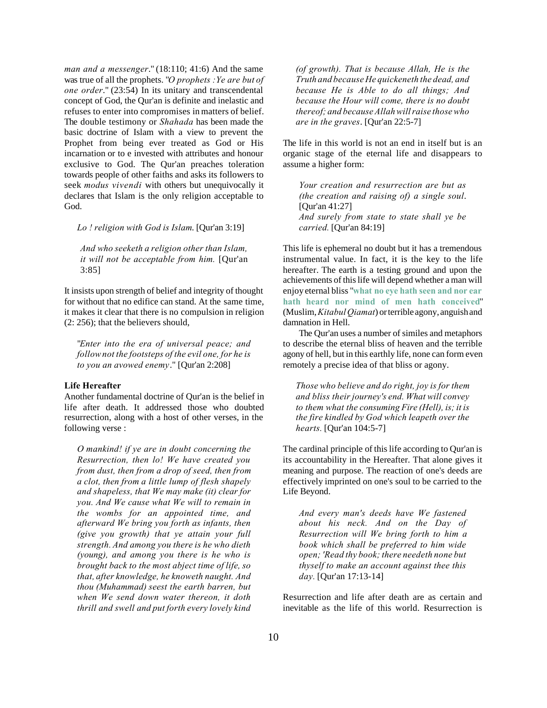*man and a messenger*." (18:110; 41:6) And the same was true of all the prophets. "*O prophets :Ye are but of one order*." (23:54) In its unitary and transcendental concept of God, the Qur'an is definite and inelastic and refuses to enter into compromises in matters of belief. The double testimony or *Shahada* has been made the basic doctrine of Islam with a view to prevent the Prophet from being ever treated as God or His incarnation or to e invested with attributes and honour exclusive to God. The Qur'an preaches toleration towards people of other faiths and asks its followers to seek *modus vivendi* with others but unequivocally it declares that Islam is the only religion acceptable to God.

*Lo ! religion with God is Islam*. [Qur'an 3:19]

*And who seeketh a religion other than Islam, it will not be acceptable from him.* [Qur'an 3:85]

It insists upon strength of belief and integrity of thought for without that no edifice can stand. At the same time, it makes it clear that there is no compulsion in religion (2: 256); that the believers should,

"*Enter into the era of universal peace; and follow not the footsteps of the evil one, for he is to you an avowed enemy*." [Qur'an 2:208]

## **Life Hereafter**

Another fundamental doctrine of Qur'an is the belief in life after death. It addressed those who doubted resurrection, along with a host of other verses, in the following verse :

*O mankind! if ye are in doubt concerning the Resurrection, then lo! We have created you from dust, then from a drop of seed, then from a clot, then from a little lump of flesh shapely and shapeless, that We may make (it) clear for you. And We cause what We will to remain in the wombs for an appointed time, and afterward We bring you forth as infants, then (give you growth) that ye attain your full strength. And among you there is he who dieth (young), and among you there is he who is brought back to the most abject time of life, so that, after knowledge, he knoweth naught. And thou (Muhammad) seest the earth barren, but when We send down water thereon, it doth thrill and swell and put forth every lovely kind* *(of growth). That is because Allah, He is the Truth and because He quickeneth the dead, and because He is Able to do all things; And because the Hour will come, there is no doubt thereof; and because Allah will raise those who are in the graves*. [Qur'an 22:5-7]

The life in this world is not an end in itself but is an organic stage of the eternal life and disappears to assume a higher form:

*Your creation and resurrection are but as (the creation and raising of) a single soul*. [Qur'an 41:27] *And surely from state to state shall ye be carried.* [Qur'an 84:19]

This life is ephemeral no doubt but it has a tremendous instrumental value. In fact, it is the key to the life hereafter. The earth is a testing ground and upon the achievements of this life will depend whether a man will enjoy eternal bliss "**what no eye hath seen and nor ear hath heard nor mind of men hath conceived**" (Muslim,*Kitabul Qiamat*) or terrible agony, anguish and damnation in Hell.

The Qur'an uses a number of similes and metaphors to describe the eternal bliss of heaven and the terrible agony of hell, but in this earthly life, none can form even remotely a precise idea of that bliss or agony.

*Those who believe and do right, joy is for them and bliss their journey's end. What will convey to them what the consuming Fire (Hell), is; it is the fire kindled by God which leapeth over the hearts.* [Qur'an 104:5-7]

The cardinal principle of this life according to Qur'an is its accountability in the Hereafter. That alone gives it meaning and purpose. The reaction of one's deeds are effectively imprinted on one's soul to be carried to the Life Beyond.

*And every man's deeds have We fastened about his neck. And on the Day of Resurrection will We bring forth to him a book which shall be preferred to him wide open; 'Read thy book; there needeth none but thyself to make an account against thee this day.* [Qur'an 17:13-14]

Resurrection and life after death are as certain and inevitable as the life of this world. Resurrection is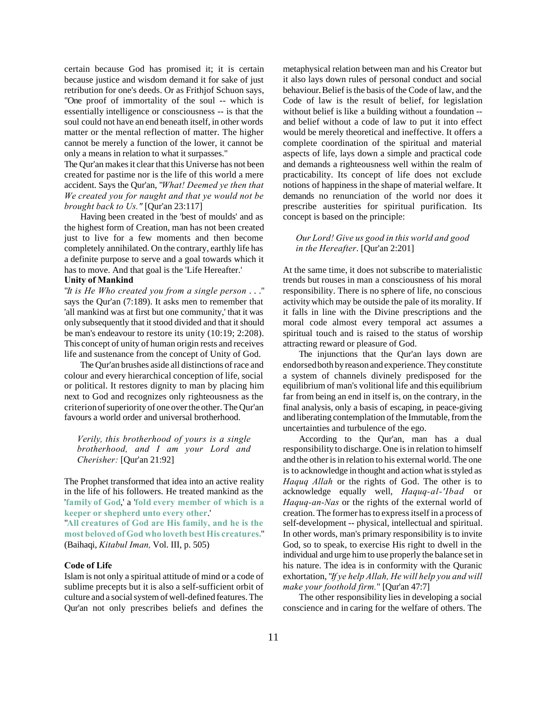certain because God has promised it; it is certain because justice and wisdom demand it for sake of just retribution for one's deeds. Or as Frithjof Schuon says, "One proof of immortality of the soul -- which is essentially intelligence or consciousness -- is that the soul could not have an end beneath itself, in other words matter or the mental reflection of matter. The higher cannot be merely a function of the lower, it cannot be only a means in relation to what it surpasses."

The Qur'an makes it clear that this Universe has not been created for pastime nor is the life of this world a mere accident. Says the Qur'an, "*What! Deemed ye then that We created you for naught and that ye would not be brought back to Us."* [Qur'an 23:117]

Having been created in the 'best of moulds' and as the highest form of Creation, man has not been created just to live for a few moments and then become completely annihilated. On the contrary, earthly life has a definite purpose to serve and a goal towards which it has to move. And that goal is the 'Life Hereafter.'

## **Unity of Mankind**

"*It is He Who created you from a single person* . . ." says the Qur'an (7:189). It asks men to remember that 'all mankind was at first but one community,' that it was only subsequently that it stood divided and that it should be man's endeavour to restore its unity (10:19; 2:208). This concept of unity of human origin rests and receives life and sustenance from the concept of Unity of God.

The Qur'an brushes aside all distinctions of race and colour and every hierarchical conception of life, social or political. It restores dignity to man by placing him next to God and recognizes only righteousness as the criterion of superiority of one over the other. The Qur'an favours a world order and universal brotherhood.

*Verily, this brotherhood of yours is a single brotherhood, and I am your Lord and Cherisher:* [Qur'an 21:92]

The Prophet transformed that idea into an active reality in the life of his followers. He treated mankind as the '**family of God**,' a '**fold every member of which is a keeper or shepherd unto every other**.' "**All creatures of God are His family, and he is the most beloved of God who loveth best His creatures.**" (Baihaqi, *Kitabul Iman,* Vol. III, p. 505)

## **Code of Life**

Islam is not only a spiritual attitude of mind or a code of sublime precepts but it is also a self-sufficient orbit of culture and a social system of well-defined features. The Qur'an not only prescribes beliefs and defines the

metaphysical relation between man and his Creator but it also lays down rules of personal conduct and social behaviour. Belief is the basis of the Code of law, and the Code of law is the result of belief, for legislation without belief is like a building without a foundation - and belief without a code of law to put it into effect would be merely theoretical and ineffective. It offers a complete coordination of the spiritual and material aspects of life, lays down a simple and practical code and demands a righteousness well within the realm of practicability. Its concept of life does not exclude notions of happiness in the shape of material welfare. It demands no renunciation of the world nor does it prescribe austerities for spiritual purification. Its concept is based on the principle:

# *Our Lord! Give us good in this world and good in the Hereafter*. [Qur'an 2:201]

At the same time, it does not subscribe to materialistic trends but rouses in man a consciousness of his moral responsibility. There is no sphere of life, no conscious activity which may be outside the pale of its morality. If it falls in line with the Divine prescriptions and the moral code almost every temporal act assumes a spiritual touch and is raised to the status of worship attracting reward or pleasure of God.

The injunctions that the Qur'an lays down are endorsed both by reason and experience. They constitute a system of channels divinely predisposed for the equilibrium of man's volitional life and this equilibrium far from being an end in itself is, on the contrary, in the final analysis, only a basis of escaping, in peace-giving and liberating contemplation of the Immutable, from the uncertainties and turbulence of the ego.

According to the Qur'an, man has a dual responsibility to discharge. One is in relation to himself and the other is in relation to his external world. The one is to acknowledge in thought and action what is styled as *Haquq Allah* or the rights of God. The other is to acknowledge equally well, *Haquq-al-'Ibad* or *Haquq-an-Nas* or the rights of the external world of creation. The former has to express itself in a process of self-development -- physical, intellectual and spiritual. In other words, man's primary responsibility is to invite God, so to speak, to exercise His right to dwell in the individual and urge him to use properly the balance set in his nature. The idea is in conformity with the Quranic exhortation, "*If ye help Allah, He will help you and will make your foothold firm.*" [Qur'an 47:7]

The other responsibility lies in developing a social conscience and in caring for the welfare of others. The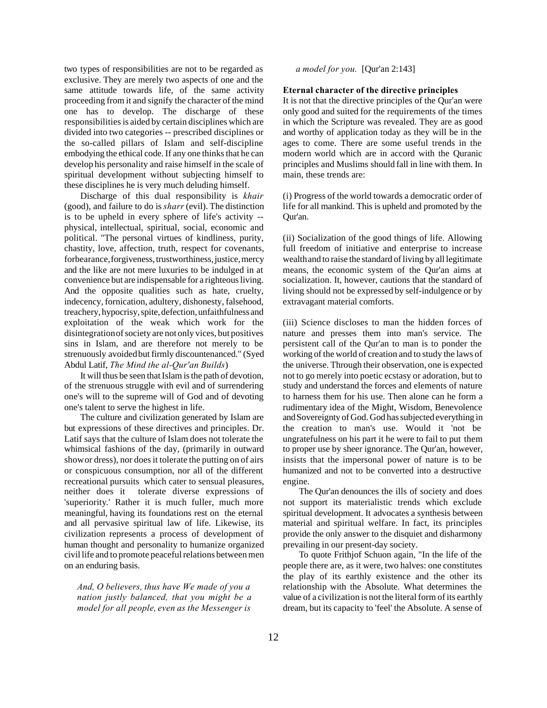two types of responsibilities are not to be regarded as exclusive. They are merely two aspects of one and the same attitude towards life, of the same activity proceeding from it and signify the character of the mind one has to develop. The discharge of these responsibilities is aided by certain disciplines which are divided into two categories -- prescribed disciplines or the so-called pillars of Islam and self-discipline embodying the ethical code. If any one thinks that he can develop his personality and raise himself in the scale of spiritual development without subjecting himself to these disciplines he is very much deluding himself.

Discharge of this dual responsibility is *khair* (good), and failure to do is *sharr* (evil). The distinction is to be upheld in every sphere of life's activity - physical, intellectual, spiritual, social, economic and political. "The personal virtues of kindliness, purity, chastity, love, affection, truth, respect for covenants, forbearance, forgiveness, trustworthiness, justice, mercy and the like are not mere luxuries to be indulged in at convenience but are indispensable for a righteous living. And the opposite qualities such as hate, cruelty, indecency, fornication, adultery, dishonesty, falsehood, treachery, hypocrisy, spite, defection, unfaithfulness and exploitation of the weak which work for the disintegration of society are not only vices, but positives sins in Islam, and are therefore not merely to be strenuously avoided but firmly discountenanced." (Syed Abdul Latif, *The Mind the al-Qur'an Builds*)

It will thus be seen that Islam is the path of devotion, of the strenuous struggle with evil and of surrendering one's will to the supreme will of God and of devoting one's talent to serve the highest in life.

The culture and civilization generated by Islam are but expressions of these directives and principles. Dr. Latif says that the culture of Islam does not tolerate the whimsical fashions of the day, (primarily in outward show or dress), nor does it tolerate the putting on of airs or conspicuous consumption, nor all of the different recreational pursuits which cater to sensual pleasures, neither does it tolerate diverse expressions of 'superiority.' Rather it is much fuller, much more meaningful, having its foundations rest on the eternal and all pervasive spiritual law of life. Likewise, its civilization represents a process of development of human thought and personality to humanize organized civil life and to promote peaceful relations between men on an enduring basis.

*And, O believers, thus have We made of you a nation justly balanced, that you might be a model for all people, even as the Messenger is*

# *a model for you.* [Qur'an 2:143]

## **Eternal character of the directive principles**

It is not that the directive principles of the Qur'an were only good and suited for the requirements of the times in which the Scripture was revealed. They are as good and worthy of application today as they will be in the ages to come. There are some useful trends in the modern world which are in accord with the Quranic principles and Muslims should fall in line with them. In main, these trends are:

(i) Progress of the world towards a democratic order of life for all mankind. This is upheld and promoted by the Qur'an.

(ii) Socialization of the good things of life. Allowing full freedom of initiative and enterprise to increase wealth and to raise the standard of living by all legitimate means, the economic system of the Qur'an aims at socialization. It, however, cautions that the standard of living should not be expressed by self-indulgence or by extravagant material comforts.

(iii) Science discloses to man the hidden forces of nature and presses them into man's service. The persistent call of the Qur'an to man is to ponder the working of the world of creation and to study the laws of the universe. Through their observation, one is expected not to go merely into poetic ecstasy or adoration, but to study and understand the forces and elements of nature to harness them for his use. Then alone can he form a rudimentary idea of the Might, Wisdom, Benevolence and Sovereignty of God. God has subjected everything in the creation to man's use. Would it 'not be ungratefulness on his part it he were to fail to put them to proper use by sheer ignorance. The Qur'an, however, insists that the impersonal power of nature is to be humanized and not to be converted into a destructive engine.

The Qur'an denounces the ills of society and does not support its materialistic trends which exclude spiritual development. It advocates a synthesis between material and spiritual welfare. In fact, its principles provide the only answer to the disquiet and disharmony prevailing in our present-day society.

To quote Frithjof Schuon again, "In the life of the people there are, as it were, two halves: one constitutes the play of its earthly existence and the other its relationship with the Absolute. What determines the value of a civilization is not the literal form of its earthly dream, but its capacity to 'feel' the Absolute. A sense of